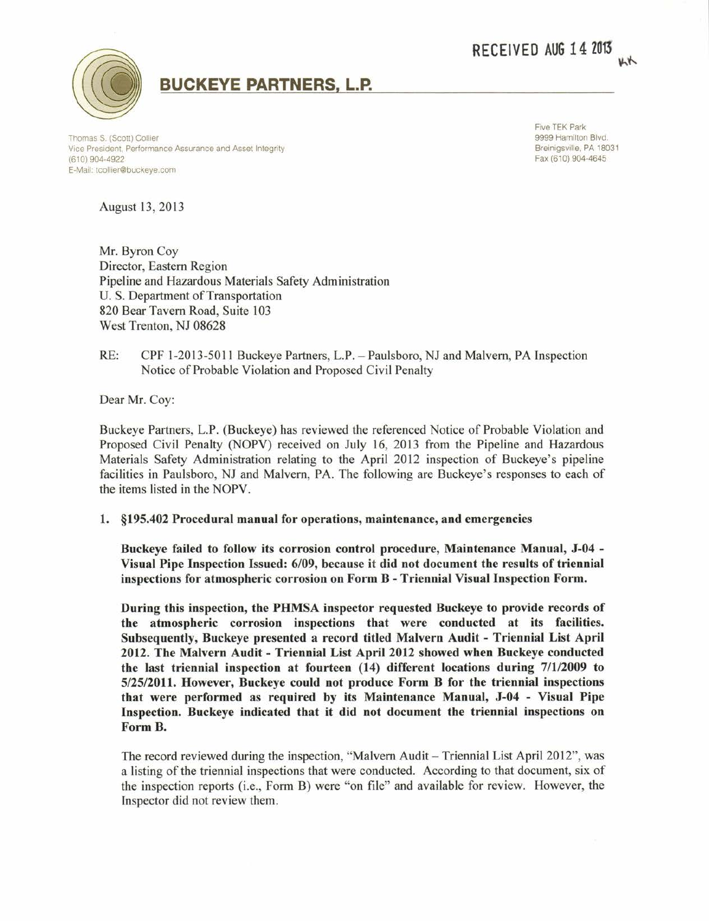RECEIVED AUG 14 2013



## BUCKEYE PARTNERS, L.P.

Thomas S. (Scott) Collier Vice President, Performance Assurance and Asset Integrity (610) 904-4922 E-Mail: tcollier@buckeye.com

Five TEK Park 9999 Hamilton Blvd. Breinigsville, PA 18031 Fax (610) 904-4645

August 13,2013

Mr. Byron Coy Director, Eastern Region Pipeline and Hazardous Materials Safety Administration U. S. Department of Transportation 820 Bear Tavern Road, Suite 103 West Trenton, NJ 08628

RE: CPF 1-2013-5011 Buckeye Partners, L.P. - Paulsboro, NJ and Malvern, PA Inspection Notice of Probable Violation and Proposed Civil Penalty

Dear Mr. Coy:

Buckeye Partners, L.P. (Buckeye) has reviewed the referenced Notice of Probable Violation and Proposed Civil Penalty (NOPV) received on July 16, 2013 from the Pipeline and Hazardous Materials Safety Adminisfation relating to the April 2012 inspection of Buckeye's pipeline facilities in Paulsboro, NJ and Malvern, PA. The following are Buckeye's responses to each of the items listed in the NOPV.

## 1. \$195.402 Procedural manual for operations, maintenance, and emergencies

Buckeye failed to follow its corrosion control procedure, Maintenance Manual, J-04 - Visual Pipe Inspection Issued: 6/09, because it did not document the results of triennial inspections for atmospheric corrosion on Form B - Triennial Visual Inspection Form.

During this inspection, the PHMSA inspector requested Buckeye to provide records of the atmospheric corrosion inspections that were conducted at its facilities. Subsequently, Buckeye presented a record titled Malvern Audit - Triennial List April 2012. The Malvern Audit - Triennial List April 2012 showed when Buckeye conducted the last triennial inspection at fourteen  $(14)$  different locations during  $7/1/2009$  to 512512011. However, Buckeye could not produce Form B for the triennial inspections that were performed as required by its Maintenance Manual, J-04 - Visual Pipe Inspection. Buckeye indicated that it did not document the triennial inspections on Form B.

The record reviewed during the inspection, "Malvern Audit - Triennial List April 2012", was a listing of the triennial inspections that were conducted. According to that document, six of the inspection reports (i.e., Form B) were "on file" and available for review. However, the Inspector did not review them.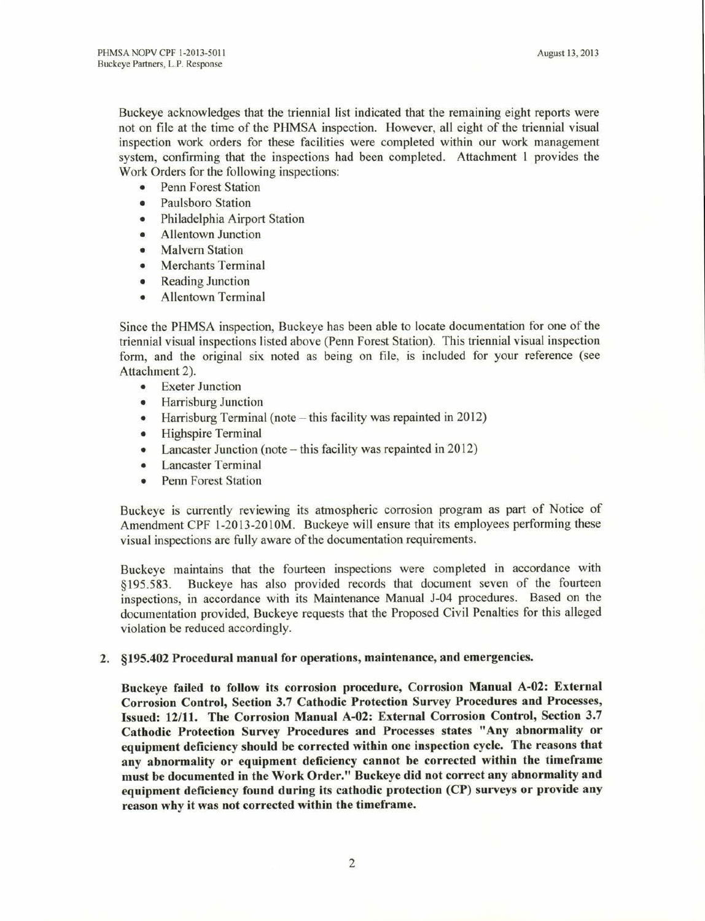Buckeye acknowledges that the triennial list indicated that the remaining eight reports were not on file at the time of the PHMSA inspection. However, all eight of the triennial visual inspection work orders for these facilities were completed within our work management system, confirming that the inspections had been completed. Attachment I provides the Work Orders for the following inspections:

- Penn Forest Station
- Paulsboro Station
- o Philadelphia Airport Station
- o Allentown Junction
- o Malvern Station
- o Merchants Terminal
- Reading Junction
- o Allentown Terminal

Since the PHMSA inspection, Buckeye has been able to locate documentation for one of the triennial visual inspections listed above (Penn Forest Station). This triennial visual inspection form, and the original six noted as being on file, is included for your reference (see Attachment 2).

- o Exeter Junction
- o Harrisburg Junction
- Harrisburg Terminal (note  $-$  this facility was repainted in 2012)<br>• Highspire Terminal
- . Highspire Terminal
- Lancaster Junction (note  $-$  this facility was repainted in 2012)<br>• Lancaster Terminal
- **Lancaster Terminal**
- e Penn Forest Station

Buckeye is currently reviewing its atmospheric corrosion program as part of Notice of Amendment CPF l-2013-2010M. Buckeye will ensure that its employees performing these visual inspections are fully aware of the documentation requirements.

Buckeye maintains that the fourteen inspections were completed in accordance with \$195.583. Buckeye has also provided records that document seven of the fourteen inspections, in accordance with its Maintenance Manual J-04 procedures. Based on the documentation provided, Buckeye requests that the Proposed Civil Penalties for this alleged violation be reduced accordingly.

## 2. \$195.402 Procedural manual for operations, maintenance, and emergencies.

Buckeye failed to follow its corrosion procedure, Corrosion Manual A-02: External Corrosion Control, Section 3.7 Cathodic Protection Survey Procedures and Processes, Issued: 12/11. The Corrosion Manual A-02: External Corrosion Control, Section 3.7 Cathodic Protection Survey Procedures and Processes states "Any abnormality or equipment deficiency should be corrected within one inspection cycle. The reasons that any abnormality or equipment deficiency cannot be corrected within the timeframe must be documented in the Work Order." Buckeye did not correct any abnormality and equipment deficiency found during its cathodic protection (CP) surveys or provide any reason why it was not corrected within the timeframe.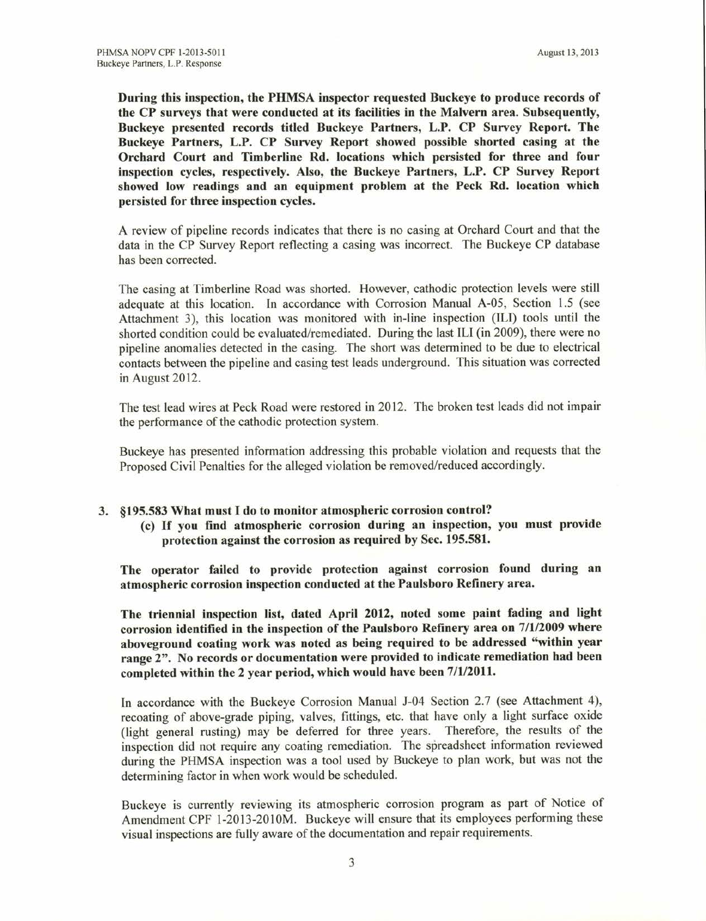During this inspection, the PHMSA inspector requested Buckeye to produce records of the CP surveys that were conducted at its facilities in the Malvern area. Subsequently, Buckeye presented records titled Buckeye Partners, L.P. CP Survey Report. The Buckeye Partners, L.P. CP Survey Report showed possible shorted casing at the Orchard Court and Timberline Rd. locations which persisted for three and four inspection cycles, respectively. Also, the Buckeye Partners, L.P. CP Survey Report showed low readings and an equipment problem at the Peck Rd. location which persisted for three inspection cycles.

A review of pipeline records indicates that there is no casing at Orchard Court and that the data in the CP Survey Report reflecting a casing was incorrect. The Buckeye CP database has been corrected.

The casing at Timberline Road was shorted. However, cathodic protection levels were still adequate at this location. In accordance with Corrosion Manual A-05, Section 1.5 (see Attachment 3), this location was monitored with in-line inspection (ILI) tools until the shorted condition could be evaluated/remediated. During the last ILI (in 2009), there were no pipeline anomalies detected in the casing. The short was determined to be due to electrical contacts between the pipeline and casing test leads underground. This situation was corrected in August 2012.

The test lead wires at Peck Road were restored in20l2. The broken test leads did not impair the performance of the cathodic protection system.

Buckeye has presented information addressing this probable violation and requests that the Proposed Civil Penalties for the alleged violation be removed/reduced accordingly.

## 3. \$195.533 What must I do to monitor atmospheric corrosion control?

(c) If you find atmospheric corrosion during an inspection, you must provide protection against the corrosion as required by Sec. 195.581.

The operator failed to provide protection against corrosion found during an atmospheric corrosion inspection conducted at the Paulsboro Refinery area.

The triennial inspection list, dated April 2012, noted some paint fading and light corrosion identified in the inspection of the Paulsboro Refinery area on 7/1/2009 where aboveground coating work was noted as being required to be addressed "within year range 2". No records or documentation were provided to indicate remediation had been completed within the 2 year period, which would have been 7/1/2011.

In accordance with the Buckeye Corrosion Manual J-04 Section 2.7 (see Attachment 4), recoating of above-grade piping, valves, fittings, etc. that have only a light surface oxide (light general rusting) may be deferred for three years. Therefore, the results of the inspection did not require any coating remediation. The spreadsheet information reviewed during the PHMSA inspection was a tool used by Buckeye to plan work, but was not the determining factor in when work would be scheduled.

Buckeye is currently reviewing its atmospheric corrosion program as part of Notice of Amendment CPF l-2013-2010M. Buckeye will ensure that its employees performing these visual inspections are fully aware of the documentation and repair requirements.